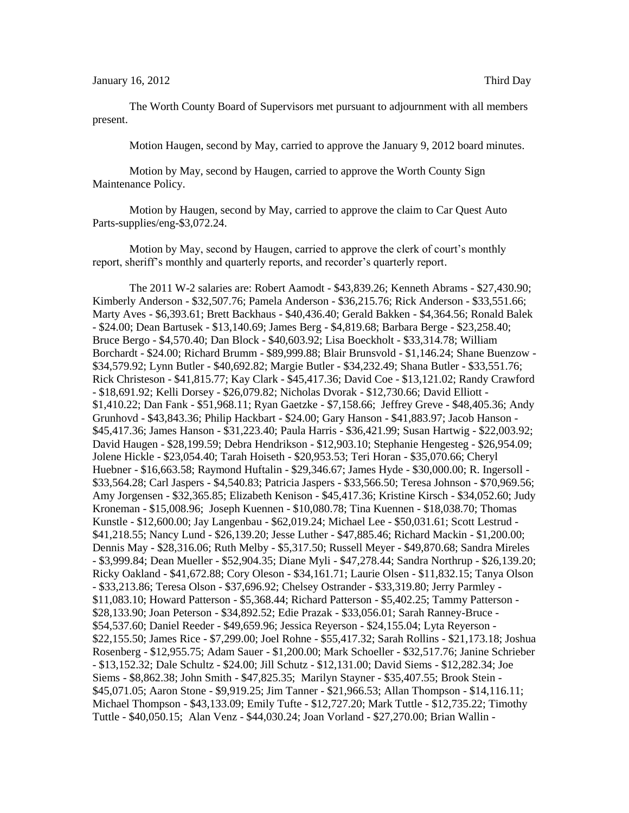## January 16, 2012 Third Day

The Worth County Board of Supervisors met pursuant to adjournment with all members present.

Motion Haugen, second by May, carried to approve the January 9, 2012 board minutes.

Motion by May, second by Haugen, carried to approve the Worth County Sign Maintenance Policy.

Motion by Haugen, second by May, carried to approve the claim to Car Quest Auto Parts-supplies/eng-\$3,072.24.

Motion by May, second by Haugen, carried to approve the clerk of court's monthly report, sheriff's monthly and quarterly reports, and recorder's quarterly report.

The 2011 W-2 salaries are: Robert Aamodt - \$43,839.26; Kenneth Abrams - \$27,430.90; Kimberly Anderson - \$32,507.76; Pamela Anderson - \$36,215.76; Rick Anderson - \$33,551.66; Marty Aves - \$6,393.61; Brett Backhaus - \$40,436.40; Gerald Bakken - \$4,364.56; Ronald Balek - \$24.00; Dean Bartusek - \$13,140.69; James Berg - \$4,819.68; Barbara Berge - \$23,258.40; Bruce Bergo - \$4,570.40; Dan Block - \$40,603.92; Lisa Boeckholt - \$33,314.78; William Borchardt - \$24.00; Richard Brumm - \$89,999.88; Blair Brunsvold - \$1,146.24; Shane Buenzow - \$34,579.92; Lynn Butler - \$40,692.82; Margie Butler - \$34,232.49; Shana Butler - \$33,551.76; Rick Christeson - \$41,815.77; Kay Clark - \$45,417.36; David Coe - \$13,121.02; Randy Crawford - \$18,691.92; Kelli Dorsey - \$26,079.82; Nicholas Dvorak - \$12,730.66; David Elliott - \$1,410.22; Dan Fank - \$51,968.11; Ryan Gaetzke - \$7,158.66; Jeffrey Greve - \$48,405.36; Andy Grunhovd - \$43,843.36; Philip Hackbart - \$24.00; Gary Hanson - \$41,883.97; Jacob Hanson - \$45,417.36; James Hanson - \$31,223.40; Paula Harris - \$36,421.99; Susan Hartwig - \$22,003.92; David Haugen - \$28,199.59; Debra Hendrikson - \$12,903.10; Stephanie Hengesteg - \$26,954.09; Jolene Hickle - \$23,054.40; Tarah Hoiseth - \$20,953.53; Teri Horan - \$35,070.66; Cheryl Huebner - \$16,663.58; Raymond Huftalin - \$29,346.67; James Hyde - \$30,000.00; R. Ingersoll - \$33,564.28; Carl Jaspers - \$4,540.83; Patricia Jaspers - \$33,566.50; Teresa Johnson - \$70,969.56; Amy Jorgensen - \$32,365.85; Elizabeth Kenison - \$45,417.36; Kristine Kirsch - \$34,052.60; Judy Kroneman - \$15,008.96; Joseph Kuennen - \$10,080.78; Tina Kuennen - \$18,038.70; Thomas Kunstle - \$12,600.00; Jay Langenbau - \$62,019.24; Michael Lee - \$50,031.61; Scott Lestrud - \$41,218.55; Nancy Lund - \$26,139.20; Jesse Luther - \$47,885.46; Richard Mackin - \$1,200.00; Dennis May - \$28,316.06; Ruth Melby - \$5,317.50; Russell Meyer - \$49,870.68; Sandra Mireles - \$3,999.84; Dean Mueller - \$52,904.35; Diane Myli - \$47,278.44; Sandra Northrup - \$26,139.20; Ricky Oakland - \$41,672.88; Cory Oleson - \$34,161.71; Laurie Olsen - \$11,832.15; Tanya Olson - \$33,213.86; Teresa Olson - \$37,696.92; Chelsey Ostrander - \$33,319.80; Jerry Parmley - \$11,083.10; Howard Patterson - \$5,368.44; Richard Patterson - \$5,402.25; Tammy Patterson - \$28,133.90; Joan Peterson - \$34,892.52; Edie Prazak - \$33,056.01; Sarah Ranney-Bruce - \$54,537.60; Daniel Reeder - \$49,659.96; Jessica Reyerson - \$24,155.04; Lyta Reyerson - \$22,155.50; James Rice - \$7,299.00; Joel Rohne - \$55,417.32; Sarah Rollins - \$21,173.18; Joshua Rosenberg - \$12,955.75; Adam Sauer - \$1,200.00; Mark Schoeller - \$32,517.76; Janine Schrieber - \$13,152.32; Dale Schultz - \$24.00; Jill Schutz - \$12,131.00; David Siems - \$12,282.34; Joe Siems - \$8,862.38; John Smith - \$47,825.35; Marilyn Stayner - \$35,407.55; Brook Stein - \$45,071.05; Aaron Stone - \$9,919.25; Jim Tanner - \$21,966.53; Allan Thompson - \$14,116.11; Michael Thompson - \$43,133.09; Emily Tufte - \$12,727.20; Mark Tuttle - \$12,735.22; Timothy Tuttle - \$40,050.15; Alan Venz - \$44,030.24; Joan Vorland - \$27,270.00; Brian Wallin -